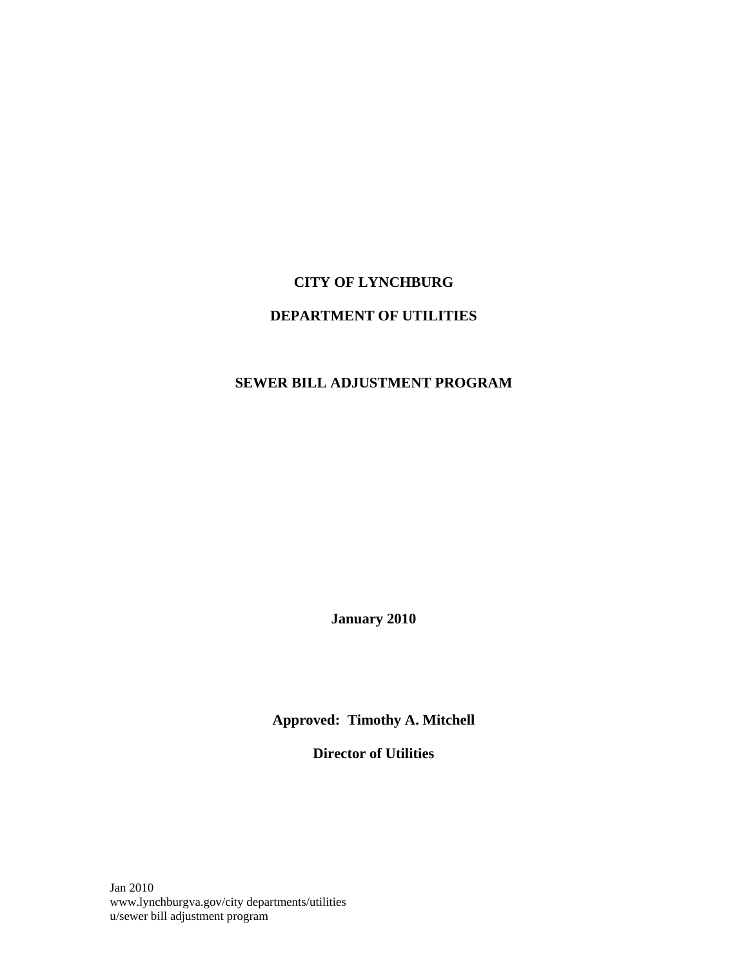# **CITY OF LYNCHBURG**

# **DEPARTMENT OF UTILITIES**

# **SEWER BILL ADJUSTMENT PROGRAM**

**January 2010** 

**Approved: Timothy A. Mitchell** 

**Director of Utilities** 

Jan 2010 www.lynchburgva.gov/city departments/utilities u/sewer bill adjustment program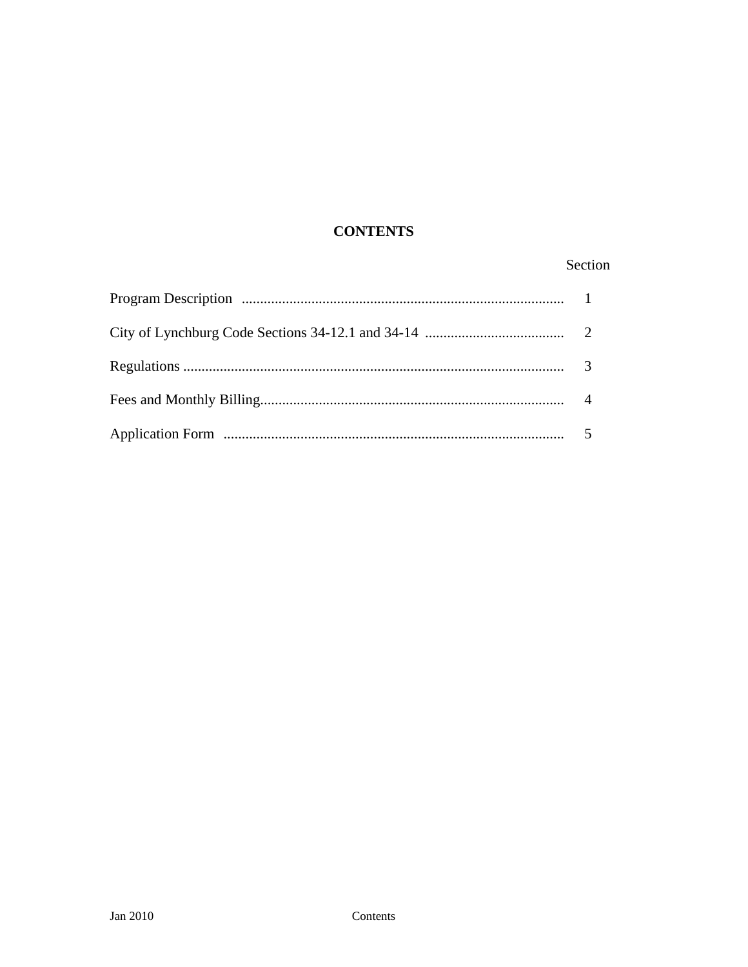# **CONTENTS**

# Section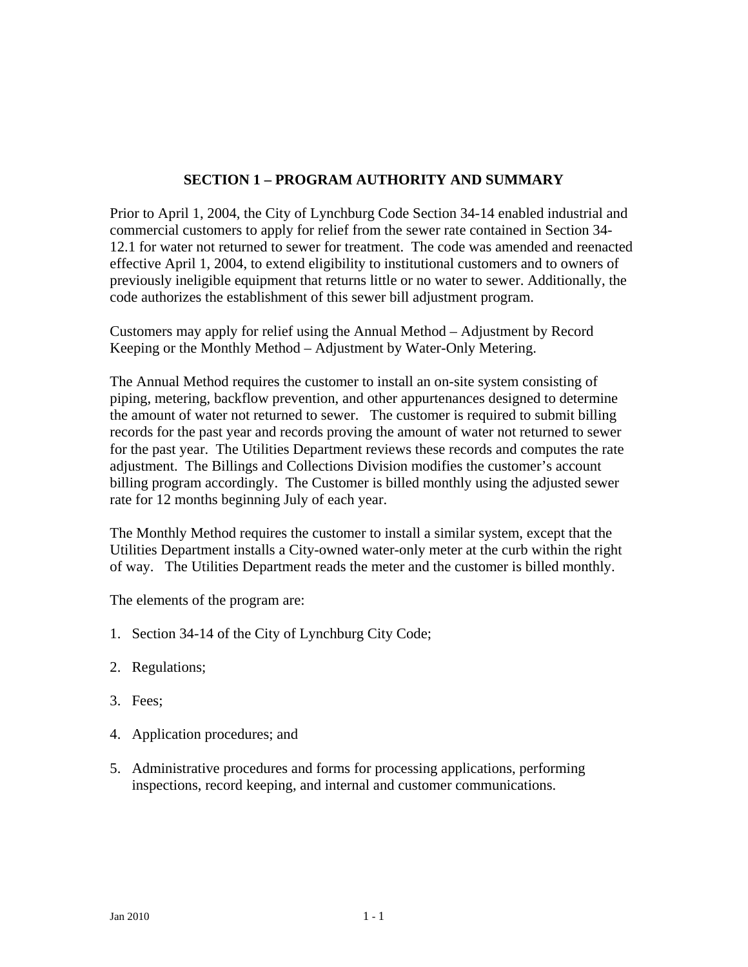# **SECTION 1 – PROGRAM AUTHORITY AND SUMMARY**

Prior to April 1, 2004, the City of Lynchburg Code Section 34-14 enabled industrial and commercial customers to apply for relief from the sewer rate contained in Section 34- 12.1 for water not returned to sewer for treatment. The code was amended and reenacted effective April 1, 2004, to extend eligibility to institutional customers and to owners of previously ineligible equipment that returns little or no water to sewer. Additionally, the code authorizes the establishment of this sewer bill adjustment program.

Customers may apply for relief using the Annual Method – Adjustment by Record Keeping or the Monthly Method – Adjustment by Water-Only Metering.

The Annual Method requires the customer to install an on-site system consisting of piping, metering, backflow prevention, and other appurtenances designed to determine the amount of water not returned to sewer. The customer is required to submit billing records for the past year and records proving the amount of water not returned to sewer for the past year. The Utilities Department reviews these records and computes the rate adjustment. The Billings and Collections Division modifies the customer's account billing program accordingly. The Customer is billed monthly using the adjusted sewer rate for 12 months beginning July of each year.

The Monthly Method requires the customer to install a similar system, except that the Utilities Department installs a City-owned water-only meter at the curb within the right of way. The Utilities Department reads the meter and the customer is billed monthly.

The elements of the program are:

- 1. Section 34-14 of the City of Lynchburg City Code;
- 2. Regulations;
- 3. Fees;
- 4. Application procedures; and
- 5. Administrative procedures and forms for processing applications, performing inspections, record keeping, and internal and customer communications.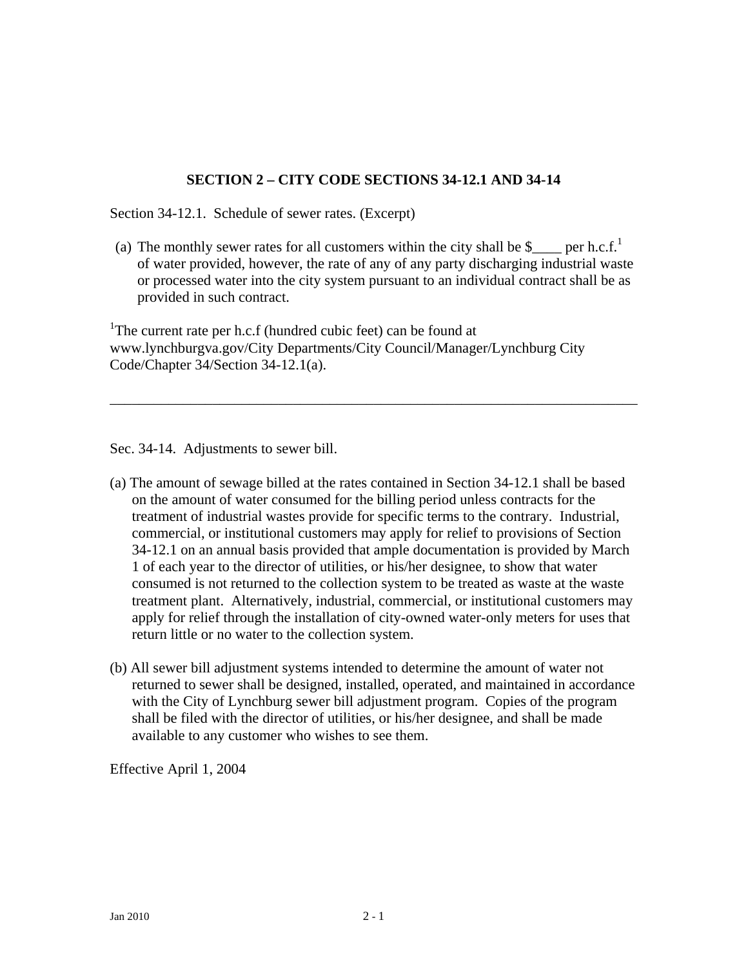# **SECTION 2 – CITY CODE SECTIONS 34-12.1 AND 34-14**

Section 34-12.1. Schedule of sewer rates. (Excerpt)

(a) The monthly sewer rates for all customers within the city shall be  $\beta$  per h.c.f.<sup>1</sup> of water provided, however, the rate of any of any party discharging industrial waste or processed water into the city system pursuant to an individual contract shall be as provided in such contract.

\_\_\_\_\_\_\_\_\_\_\_\_\_\_\_\_\_\_\_\_\_\_\_\_\_\_\_\_\_\_\_\_\_\_\_\_\_\_\_\_\_\_\_\_\_\_\_\_\_\_\_\_\_\_\_\_\_\_\_\_\_\_\_\_\_\_\_\_\_\_\_\_

<sup>1</sup>The current rate per h.c.f (hundred cubic feet) can be found at www.lynchburgva.gov/City Departments/City Council/Manager/Lynchburg City Code/Chapter 34/Section 34-12.1(a).

Sec. 34-14. Adjustments to sewer bill.

- (a) The amount of sewage billed at the rates contained in Section 34-12.1 shall be based on the amount of water consumed for the billing period unless contracts for the treatment of industrial wastes provide for specific terms to the contrary. Industrial, commercial, or institutional customers may apply for relief to provisions of Section 34-12.1 on an annual basis provided that ample documentation is provided by March 1 of each year to the director of utilities, or his/her designee, to show that water consumed is not returned to the collection system to be treated as waste at the waste treatment plant. Alternatively, industrial, commercial, or institutional customers may apply for relief through the installation of city-owned water-only meters for uses that return little or no water to the collection system.
- (b) All sewer bill adjustment systems intended to determine the amount of water not returned to sewer shall be designed, installed, operated, and maintained in accordance with the City of Lynchburg sewer bill adjustment program. Copies of the program shall be filed with the director of utilities, or his/her designee, and shall be made available to any customer who wishes to see them.

Effective April 1, 2004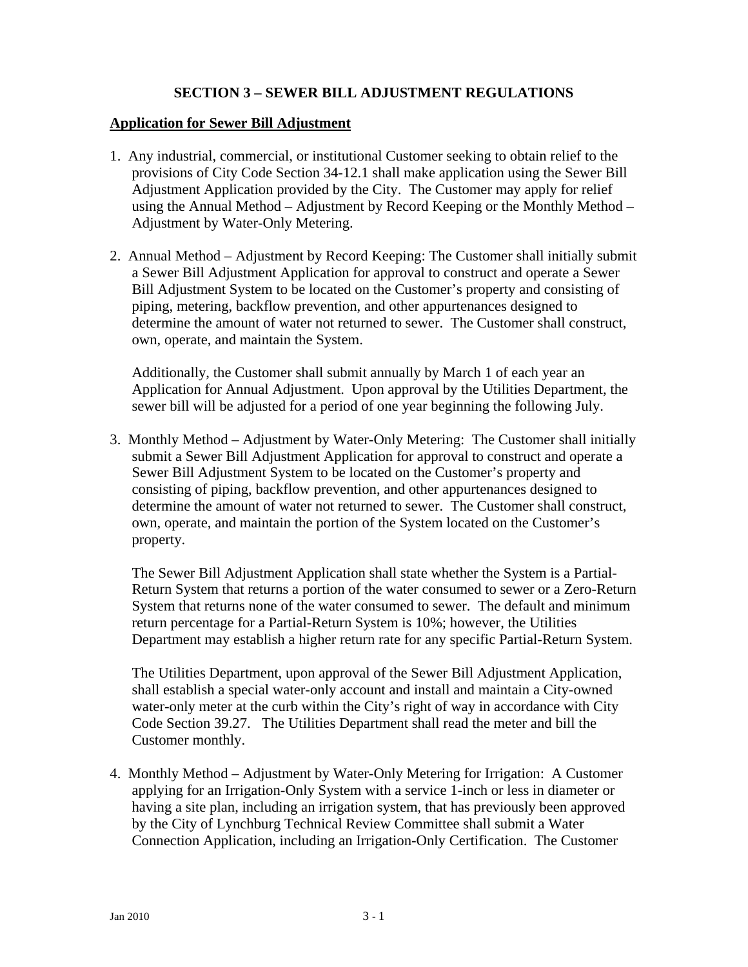# **SECTION 3 – SEWER BILL ADJUSTMENT REGULATIONS**

## **Application for Sewer Bill Adjustment**

- 1. Any industrial, commercial, or institutional Customer seeking to obtain relief to the provisions of City Code Section 34-12.1 shall make application using the Sewer Bill Adjustment Application provided by the City.The Customer may apply for relief using the Annual Method – Adjustment by Record Keeping or the Monthly Method – Adjustment by Water-Only Metering.
- 2. Annual Method Adjustment by Record Keeping: The Customer shall initially submit a Sewer Bill Adjustment Application for approval to construct and operate a Sewer Bill Adjustment System to be located on the Customer's property and consisting of piping, metering, backflow prevention, and other appurtenances designed to determine the amount of water not returned to sewer. The Customer shall construct, own, operate, and maintain the System.

Additionally, the Customer shall submit annually by March 1 of each year an Application for Annual Adjustment. Upon approval by the Utilities Department, the sewer bill will be adjusted for a period of one year beginning the following July.

3. Monthly Method – Adjustment by Water-Only Metering: The Customer shall initially submit a Sewer Bill Adjustment Application for approval to construct and operate a Sewer Bill Adjustment System to be located on the Customer's property and consisting of piping, backflow prevention, and other appurtenances designed to determine the amount of water not returned to sewer. The Customer shall construct, own, operate, and maintain the portion of the System located on the Customer's property.

The Sewer Bill Adjustment Application shall state whether the System is a Partial-Return System that returns a portion of the water consumed to sewer or a Zero-Return System that returns none of the water consumed to sewer. The default and minimum return percentage for a Partial-Return System is 10%; however, the Utilities Department may establish a higher return rate for any specific Partial-Return System.

The Utilities Department, upon approval of the Sewer Bill Adjustment Application, shall establish a special water-only account and install and maintain a City-owned water-only meter at the curb within the City's right of way in accordance with City Code Section 39.27. The Utilities Department shall read the meter and bill the Customer monthly.

4. Monthly Method – Adjustment by Water-Only Metering for Irrigation: A Customer applying for an Irrigation-Only System with a service 1-inch or less in diameter or having a site plan, including an irrigation system, that has previously been approved by the City of Lynchburg Technical Review Committee shall submit a Water Connection Application, including an Irrigation-Only Certification. The Customer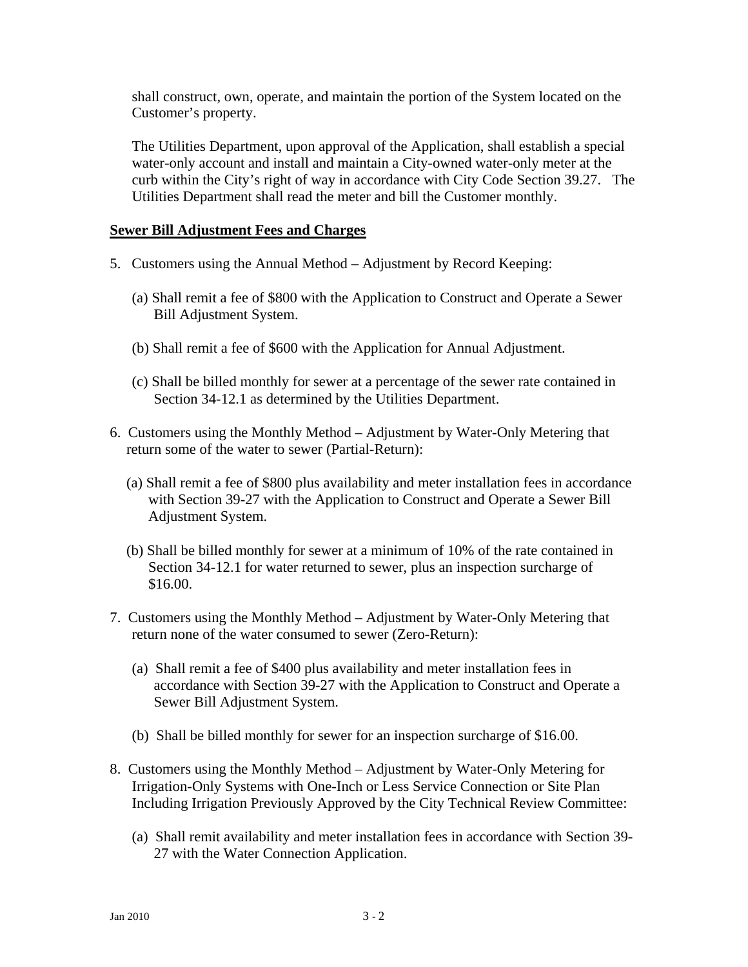shall construct, own, operate, and maintain the portion of the System located on the Customer's property.

The Utilities Department, upon approval of the Application, shall establish a special water-only account and install and maintain a City-owned water-only meter at the curb within the City's right of way in accordance with City Code Section 39.27. The Utilities Department shall read the meter and bill the Customer monthly.

## **Sewer Bill Adjustment Fees and Charges**

- 5. Customers using the Annual Method Adjustment by Record Keeping:
	- (a) Shall remit a fee of \$800 with the Application to Construct and Operate a Sewer Bill Adjustment System.
	- (b) Shall remit a fee of \$600 with the Application for Annual Adjustment.
	- (c) Shall be billed monthly for sewer at a percentage of the sewer rate contained in Section 34-12.1 as determined by the Utilities Department.
- 6. Customers using the Monthly Method Adjustment by Water-Only Metering that return some of the water to sewer (Partial-Return):
	- (a) Shall remit a fee of \$800 plus availability and meter installation fees in accordance with Section 39-27 with the Application to Construct and Operate a Sewer Bill Adjustment System.
	- (b) Shall be billed monthly for sewer at a minimum of 10% of the rate contained in Section 34-12.1 for water returned to sewer, plus an inspection surcharge of \$16.00.
- 7. Customers using the Monthly Method Adjustment by Water-Only Metering that return none of the water consumed to sewer (Zero-Return):
	- (a) Shall remit a fee of \$400 plus availability and meter installation fees in accordance with Section 39-27 with the Application to Construct and Operate a Sewer Bill Adjustment System.
	- (b) Shall be billed monthly for sewer for an inspection surcharge of \$16.00.
- 8. Customers using the Monthly Method Adjustment by Water-Only Metering for Irrigation-Only Systems with One-Inch or Less Service Connection or Site Plan Including Irrigation Previously Approved by the City Technical Review Committee:
	- (a) Shall remit availability and meter installation fees in accordance with Section 39- 27 with the Water Connection Application.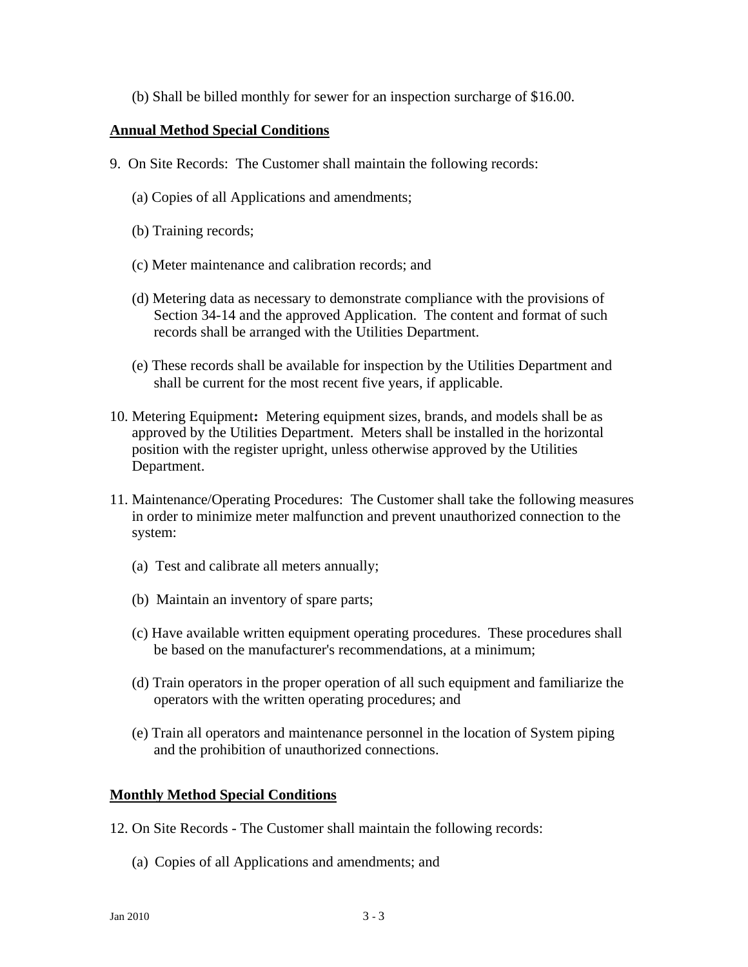(b) Shall be billed monthly for sewer for an inspection surcharge of \$16.00.

## **Annual Method Special Conditions**

- 9. On Site Records:The Customer shall maintain the following records:
	- (a) Copies of all Applications and amendments;
	- (b) Training records;
	- (c) Meter maintenance and calibration records; and
	- (d) Metering data as necessary to demonstrate compliance with the provisions of Section 34-14 and the approved Application. The content and format of such records shall be arranged with the Utilities Department.
	- (e) These records shall be available for inspection by the Utilities Department and shall be current for the most recent five years, if applicable.
- 10. Metering Equipment**:** Metering equipment sizes, brands, and models shall be as approved by the Utilities Department. Meters shall be installed in the horizontal position with the register upright, unless otherwise approved by the Utilities Department.
- 11. Maintenance/Operating Procedures: The Customer shall take the following measures in order to minimize meter malfunction and prevent unauthorized connection to the system:
	- (a) Test and calibrate all meters annually;
	- (b) Maintain an inventory of spare parts;
	- (c) Have available written equipment operating procedures. These procedures shall be based on the manufacturer's recommendations, at a minimum;
	- (d) Train operators in the proper operation of all such equipment and familiarize the operators with the written operating procedures; and
	- (e) Train all operators and maintenance personnel in the location of System piping and the prohibition of unauthorized connections.

## **Monthly Method Special Conditions**

- 12. On Site Records The Customer shall maintain the following records:
	- (a) Copies of all Applications and amendments; and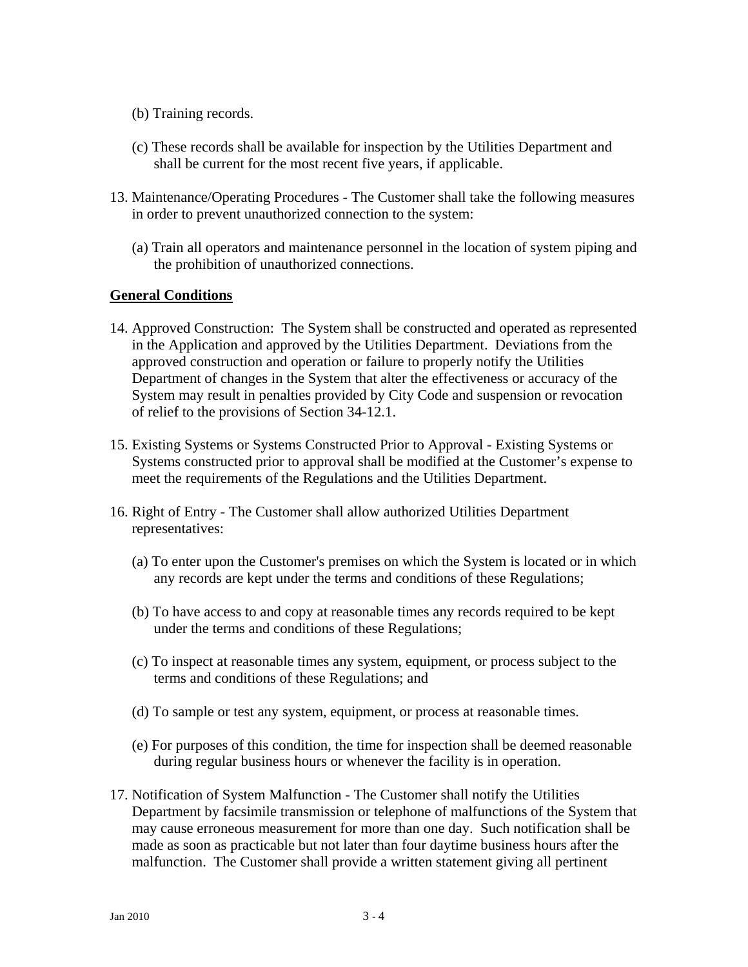- (b) Training records.
- (c) These records shall be available for inspection by the Utilities Department and shall be current for the most recent five years, if applicable.
- 13. Maintenance/Operating Procedures The Customer shall take the following measures in order to prevent unauthorized connection to the system:
	- (a) Train all operators and maintenance personnel in the location of system piping and the prohibition of unauthorized connections.

## **General Conditions**

- 14. Approved Construction: The System shall be constructed and operated as represented in the Application and approved by the Utilities Department. Deviations from the approved construction and operation or failure to properly notify the Utilities Department of changes in the System that alter the effectiveness or accuracy of the System may result in penalties provided by City Code and suspension or revocation of relief to the provisions of Section 34-12.1.
- 15. Existing Systems or Systems Constructed Prior to Approval Existing Systems or Systems constructed prior to approval shall be modified at the Customer's expense to meet the requirements of the Regulations and the Utilities Department.
- 16. Right of Entry The Customer shall allow authorized Utilities Department representatives:
	- (a) To enter upon the Customer's premises on which the System is located or in which any records are kept under the terms and conditions of these Regulations;
	- (b) To have access to and copy at reasonable times any records required to be kept under the terms and conditions of these Regulations;
	- (c) To inspect at reasonable times any system, equipment, or process subject to the terms and conditions of these Regulations; and
	- (d) To sample or test any system, equipment, or process at reasonable times.
	- (e) For purposes of this condition, the time for inspection shall be deemed reasonable during regular business hours or whenever the facility is in operation.
- 17. Notification of System Malfunction The Customer shall notify the Utilities Department by facsimile transmission or telephone of malfunctions of the System that may cause erroneous measurement for more than one day. Such notification shall be made as soon as practicable but not later than four daytime business hours after the malfunction. The Customer shall provide a written statement giving all pertinent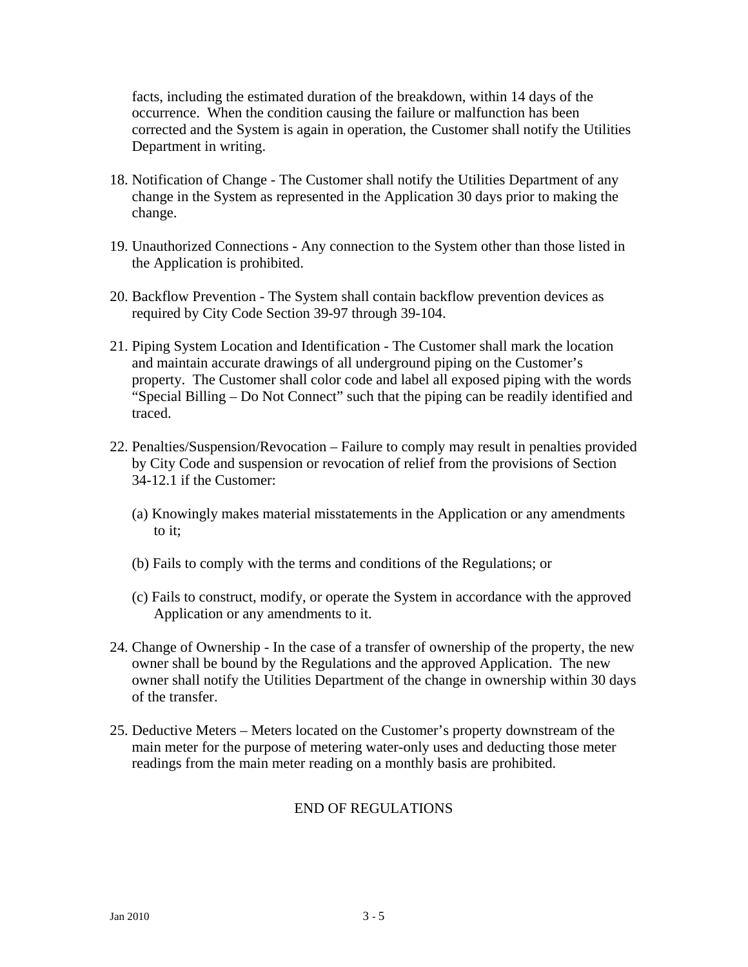facts, including the estimated duration of the breakdown, within 14 days of the occurrence. When the condition causing the failure or malfunction has been corrected and the System is again in operation, the Customer shall notify the Utilities Department in writing.

- 18. Notification of Change The Customer shall notify the Utilities Department of any change in the System as represented in the Application 30 days prior to making the change.
- 19. Unauthorized Connections Any connection to the System other than those listed in the Application is prohibited.
- 20. Backflow Prevention The System shall contain backflow prevention devices as required by City Code Section 39-97 through 39-104.
- 21. Piping System Location and Identification The Customer shall mark the location and maintain accurate drawings of all underground piping on the Customer's property. The Customer shall color code and label all exposed piping with the words "Special Billing – Do Not Connect" such that the piping can be readily identified and traced.
- 22. Penalties/Suspension/Revocation Failure to comply may result in penalties provided by City Code and suspension or revocation of relief from the provisions of Section 34-12.1 if the Customer:
	- (a) Knowingly makes material misstatements in the Application or any amendments to it;
	- (b) Fails to comply with the terms and conditions of the Regulations; or
	- (c) Fails to construct, modify, or operate the System in accordance with the approved Application or any amendments to it.
- 24. Change of Ownership In the case of a transfer of ownership of the property, the new owner shall be bound by the Regulations and the approved Application. The new owner shall notify the Utilities Department of the change in ownership within 30 days of the transfer.
- 25. Deductive Meters Meters located on the Customer's property downstream of the main meter for the purpose of metering water-only uses and deducting those meter readings from the main meter reading on a monthly basis are prohibited.

## END OF REGULATIONS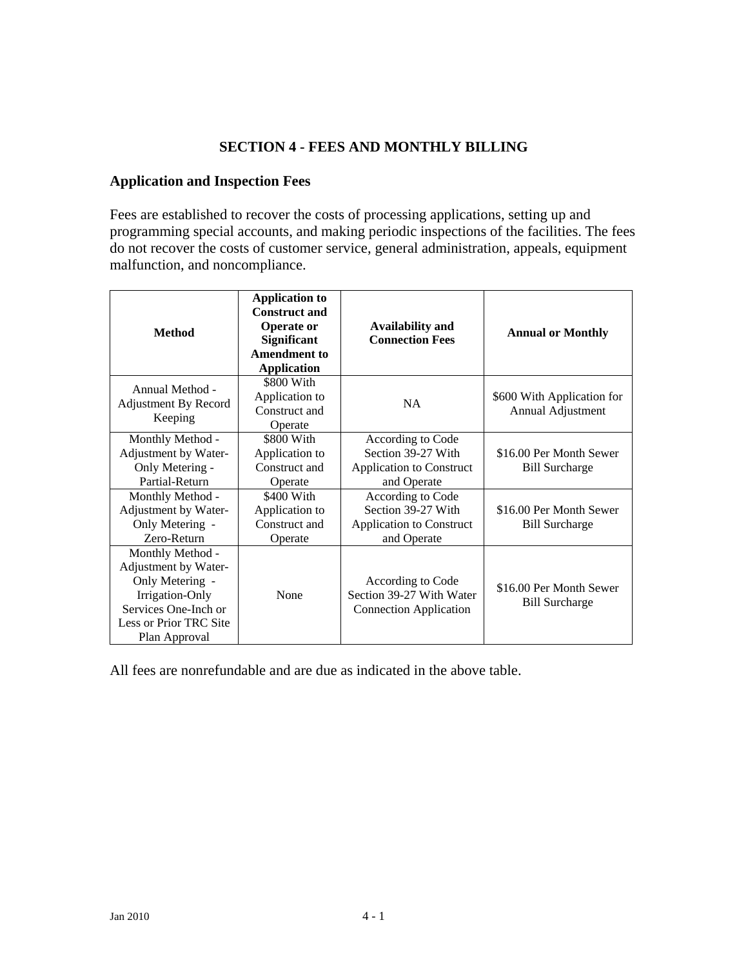# **SECTION 4 - FEES AND MONTHLY BILLING**

# **Application and Inspection Fees**

Fees are established to recover the costs of processing applications, setting up and programming special accounts, and making periodic inspections of the facilities. The fees do not recover the costs of customer service, general administration, appeals, equipment malfunction, and noncompliance.

| <b>Method</b>                                                                                                                                     | <b>Application to</b><br><b>Construct and</b><br><b>Operate or</b><br><b>Significant</b><br><b>Amendment to</b><br><b>Application</b> | <b>Availability and</b><br><b>Connection Fees</b>                                         | <b>Annual or Monthly</b>                         |
|---------------------------------------------------------------------------------------------------------------------------------------------------|---------------------------------------------------------------------------------------------------------------------------------------|-------------------------------------------------------------------------------------------|--------------------------------------------------|
| Annual Method -<br><b>Adjustment By Record</b><br>Keeping                                                                                         | \$800 With<br>Application to<br>Construct and<br>Operate                                                                              | <b>NA</b>                                                                                 | \$600 With Application for<br>Annual Adjustment  |
| Monthly Method -<br>Adjustment by Water-<br>Only Metering -<br>Partial-Return                                                                     | \$800 With<br>Application to<br>Construct and<br>Operate                                                                              | According to Code<br>Section 39-27 With<br><b>Application to Construct</b><br>and Operate | \$16.00 Per Month Sewer<br><b>Bill Surcharge</b> |
| Monthly Method -<br>Adjustment by Water-<br>Only Metering -<br>Zero-Return                                                                        | $$400$ With<br>Application to<br>Construct and<br>Operate                                                                             | According to Code<br>Section 39-27 With<br><b>Application to Construct</b><br>and Operate | \$16.00 Per Month Sewer<br><b>Bill Surcharge</b> |
| Monthly Method -<br>Adjustment by Water-<br>Only Metering -<br>Irrigation-Only<br>Services One-Inch or<br>Less or Prior TRC Site<br>Plan Approval | None                                                                                                                                  | According to Code<br>Section 39-27 With Water<br><b>Connection Application</b>            | \$16.00 Per Month Sewer<br><b>Bill Surcharge</b> |

All fees are nonrefundable and are due as indicated in the above table.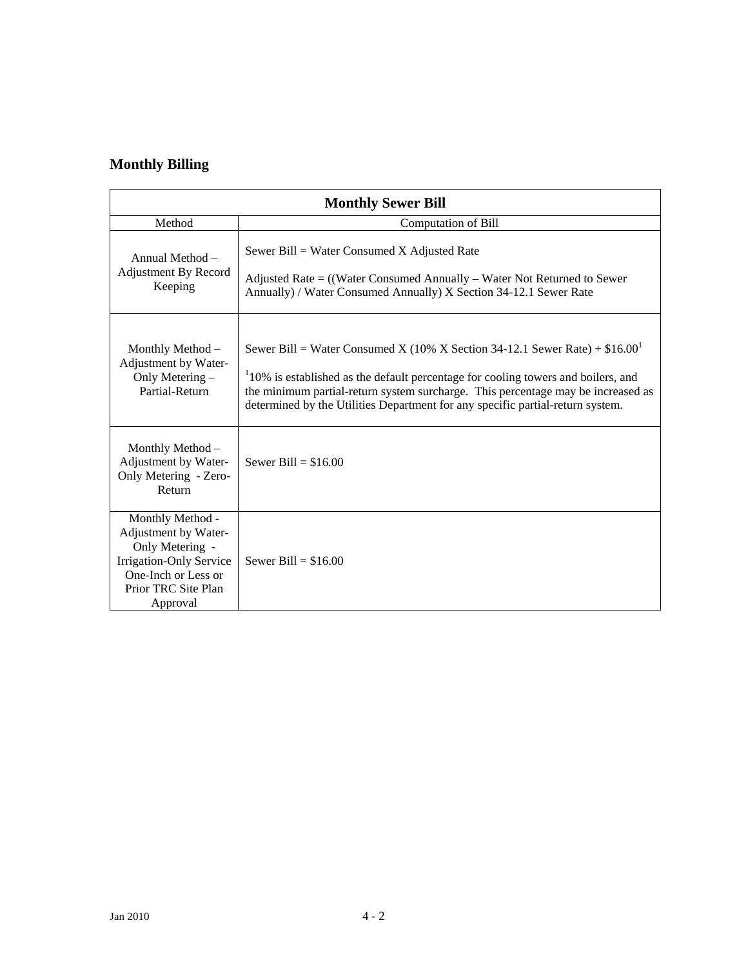# **Monthly Billing**

| <b>Monthly Sewer Bill</b>                                                                                                                        |                                                                                                                                                                                                                                                                                                                                             |  |  |
|--------------------------------------------------------------------------------------------------------------------------------------------------|---------------------------------------------------------------------------------------------------------------------------------------------------------------------------------------------------------------------------------------------------------------------------------------------------------------------------------------------|--|--|
| Method                                                                                                                                           | Computation of Bill                                                                                                                                                                                                                                                                                                                         |  |  |
| Annual Method -<br>Adjustment By Record<br>Keeping                                                                                               | Sewer Bill = Water Consumed X Adjusted Rate<br>Adjusted Rate $=$ ((Water Consumed Annually – Water Not Returned to Sewer<br>Annually) / Water Consumed Annually) X Section 34-12.1 Sewer Rate                                                                                                                                               |  |  |
| Monthly Method -<br>Adjustment by Water-<br>Only Metering -<br>Partial-Return                                                                    | Sewer Bill = Water Consumed X (10% X Section 34-12.1 Sewer Rate) + $$16.00^1$<br>$110\%$ is established as the default percentage for cooling towers and boilers, and<br>the minimum partial-return system surcharge. This percentage may be increased as<br>determined by the Utilities Department for any specific partial-return system. |  |  |
| Monthly Method -<br>Adjustment by Water-<br>Only Metering - Zero-<br>Return                                                                      | Sewer Bill = $$16.00$                                                                                                                                                                                                                                                                                                                       |  |  |
| Monthly Method -<br>Adjustment by Water-<br>Only Metering -<br>Irrigation-Only Service<br>One-Inch or Less or<br>Prior TRC Site Plan<br>Approval | Sewer Bill = $$16.00$                                                                                                                                                                                                                                                                                                                       |  |  |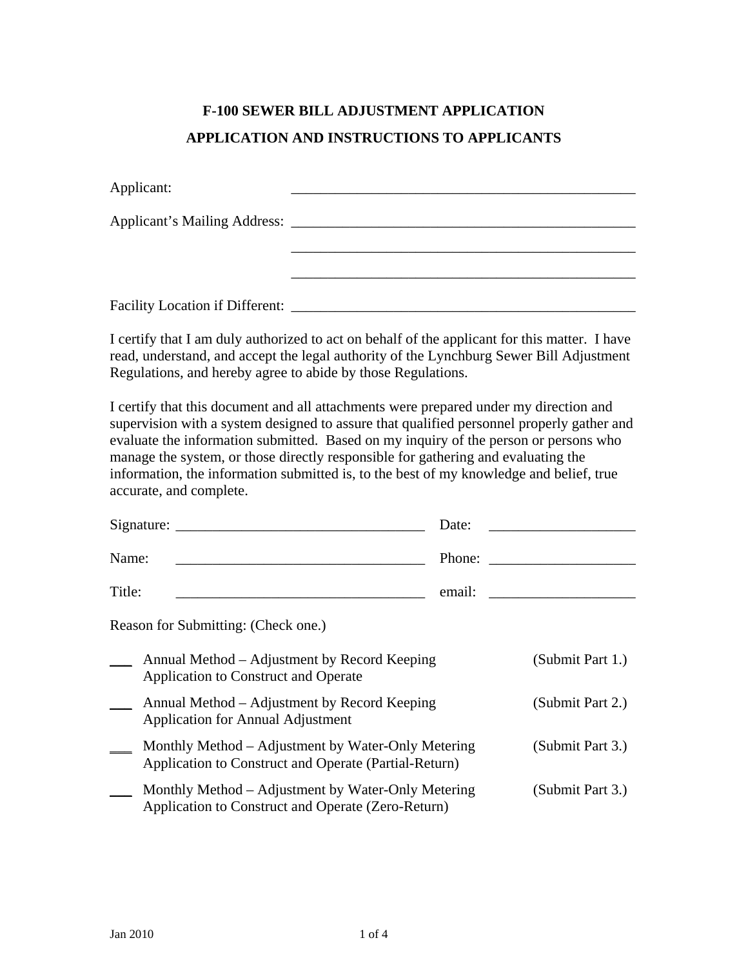# **F-100 SEWER BILL ADJUSTMENT APPLICATION APPLICATION AND INSTRUCTIONS TO APPLICANTS**

| Applicant:                             |  |
|----------------------------------------|--|
| Applicant's Mailing Address: _______   |  |
|                                        |  |
|                                        |  |
| <b>Facility Location if Different:</b> |  |

I certify that I am duly authorized to act on behalf of the applicant for this matter. I have read, understand, and accept the legal authority of the Lynchburg Sewer Bill Adjustment Regulations, and hereby agree to abide by those Regulations.

I certify that this document and all attachments were prepared under my direction and supervision with a system designed to assure that qualified personnel properly gather and evaluate the information submitted. Based on my inquiry of the person or persons who manage the system, or those directly responsible for gathering and evaluating the information, the information submitted is, to the best of my knowledge and belief, true accurate, and complete.

|                                     | Signature:                                                                                                  | Date:  |                  |  |
|-------------------------------------|-------------------------------------------------------------------------------------------------------------|--------|------------------|--|
| Name:                               |                                                                                                             | Phone: |                  |  |
| Title:                              |                                                                                                             | email: |                  |  |
| Reason for Submitting: (Check one.) |                                                                                                             |        |                  |  |
|                                     | Annual Method – Adjustment by Record Keeping<br>Application to Construct and Operate                        |        | (Submit Part 1.) |  |
|                                     | Annual Method – Adjustment by Record Keeping<br>Application for Annual Adjustment                           |        | (Submit Part 2.) |  |
|                                     | Monthly Method – Adjustment by Water-Only Metering<br>Application to Construct and Operate (Partial-Return) |        | (Submit Part 3.) |  |
|                                     | Monthly Method – Adjustment by Water-Only Metering<br>Application to Construct and Operate (Zero-Return)    |        | (Submit Part 3.) |  |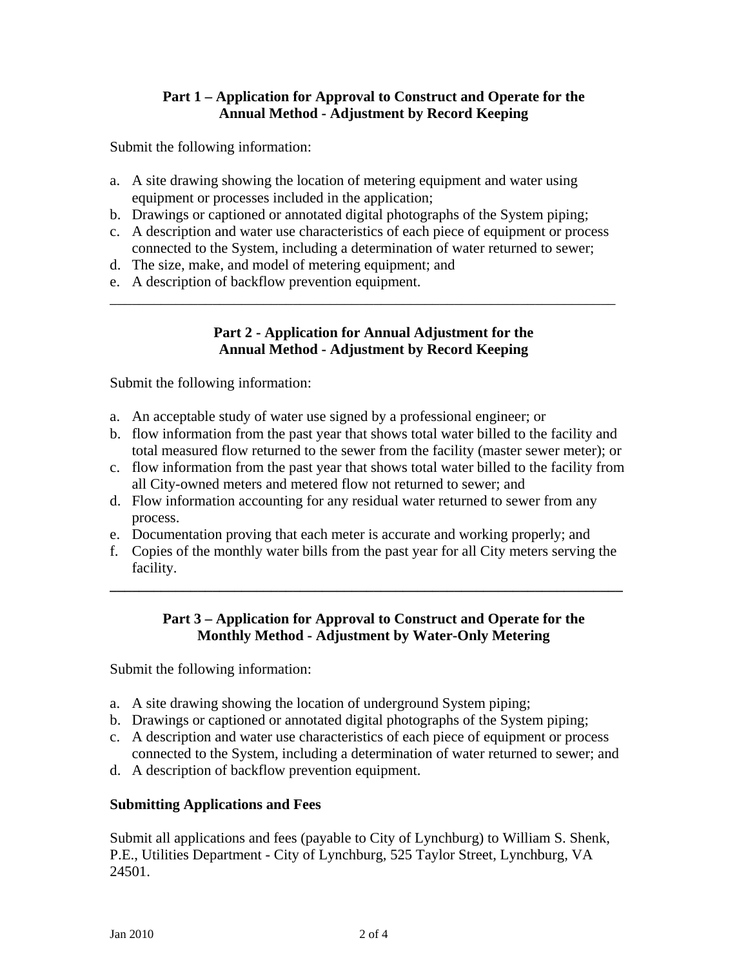# **Part 1 – Application for Approval to Construct and Operate for the Annual Method - Adjustment by Record Keeping**

Submit the following information:

- a. A site drawing showing the location of metering equipment and water using equipment or processes included in the application;
- b. Drawings or captioned or annotated digital photographs of the System piping;
- c. A description and water use characteristics of each piece of equipment or process connected to the System, including a determination of water returned to sewer;

\_\_\_\_\_\_\_\_\_\_\_\_\_\_\_\_\_\_\_\_\_\_\_\_\_\_\_\_\_\_\_\_\_\_\_\_\_\_\_\_\_\_\_\_\_\_\_\_\_\_\_\_\_\_\_\_\_\_\_\_\_\_\_\_\_\_\_\_\_

- d. The size, make, and model of metering equipment; and
- e. A description of backflow prevention equipment.

# **Part 2 - Application for Annual Adjustment for the Annual Method - Adjustment by Record Keeping**

Submit the following information:

- a. An acceptable study of water use signed by a professional engineer; or
- b. flow information from the past year that shows total water billed to the facility and total measured flow returned to the sewer from the facility (master sewer meter); or
- c. flow information from the past year that shows total water billed to the facility from all City-owned meters and metered flow not returned to sewer; and
- d. Flow information accounting for any residual water returned to sewer from any process.
- e. Documentation proving that each meter is accurate and working properly; and
- f. Copies of the monthly water bills from the past year for all City meters serving the facility.

**\_\_\_\_\_\_\_\_\_\_\_\_\_\_\_\_\_\_\_\_\_\_\_\_\_\_\_\_\_\_\_\_\_\_\_\_\_\_\_\_\_\_\_\_\_\_\_\_\_\_\_\_\_\_\_\_\_\_\_\_\_\_\_\_\_\_\_\_\_\_** 

# **Part 3 – Application for Approval to Construct and Operate for the Monthly Method - Adjustment by Water-Only Metering**

Submit the following information:

- a. A site drawing showing the location of underground System piping;
- b. Drawings or captioned or annotated digital photographs of the System piping;
- c. A description and water use characteristics of each piece of equipment or process connected to the System, including a determination of water returned to sewer; and
- d. A description of backflow prevention equipment.

# **Submitting Applications and Fees**

Submit all applications and fees (payable to City of Lynchburg) to William S. Shenk, P.E., Utilities Department - City of Lynchburg, 525 Taylor Street, Lynchburg, VA 24501.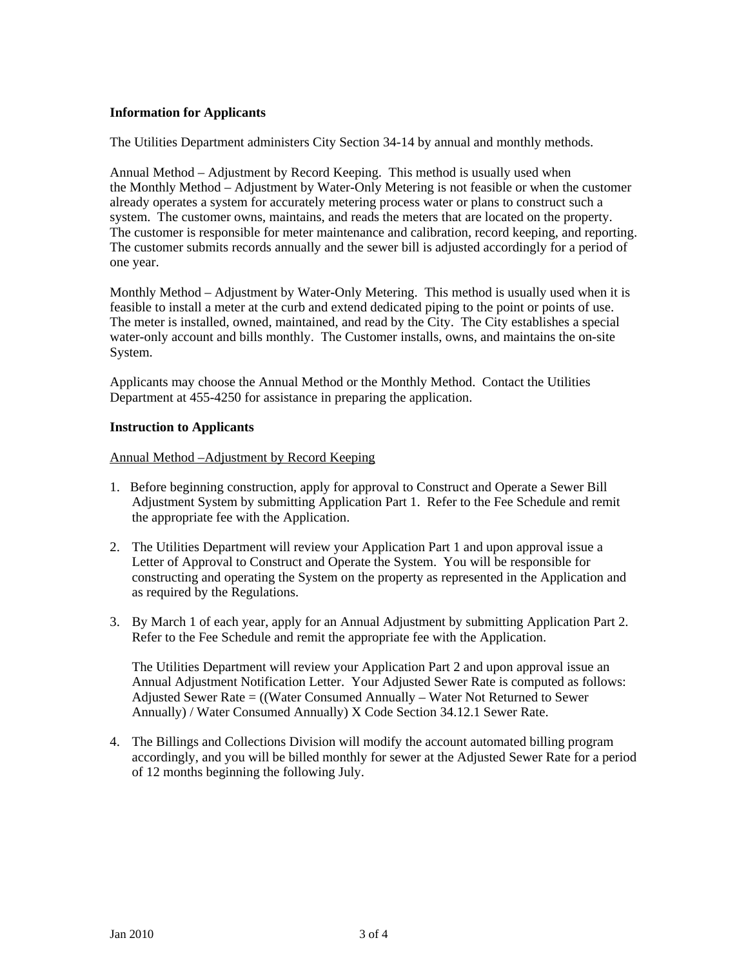#### **Information for Applicants**

The Utilities Department administers City Section 34-14 by annual and monthly methods.

Annual Method – Adjustment by Record Keeping. This method is usually used when the Monthly Method – Adjustment by Water-Only Metering is not feasible or when the customer already operates a system for accurately metering process water or plans to construct such a system. The customer owns, maintains, and reads the meters that are located on the property. The customer is responsible for meter maintenance and calibration, record keeping, and reporting. The customer submits records annually and the sewer bill is adjusted accordingly for a period of one year.

Monthly Method – Adjustment by Water-Only Metering. This method is usually used when it is feasible to install a meter at the curb and extend dedicated piping to the point or points of use. The meter is installed, owned, maintained, and read by the City. The City establishes a special water-only account and bills monthly. The Customer installs, owns, and maintains the on-site System.

Applicants may choose the Annual Method or the Monthly Method. Contact the Utilities Department at 455-4250 for assistance in preparing the application.

#### **Instruction to Applicants**

Annual Method –Adjustment by Record Keeping

- 1. Before beginning construction, apply for approval to Construct and Operate a Sewer Bill Adjustment System by submitting Application Part 1. Refer to the Fee Schedule and remit the appropriate fee with the Application.
- 2. The Utilities Department will review your Application Part 1 and upon approval issue a Letter of Approval to Construct and Operate the System. You will be responsible for constructing and operating the System on the property as represented in the Application and as required by the Regulations.
- 3. By March 1 of each year, apply for an Annual Adjustment by submitting Application Part 2. Refer to the Fee Schedule and remit the appropriate fee with the Application.

The Utilities Department will review your Application Part 2 and upon approval issue an Annual Adjustment Notification Letter. Your Adjusted Sewer Rate is computed as follows: Adjusted Sewer Rate = ((Water Consumed Annually – Water Not Returned to Sewer Annually) / Water Consumed Annually) X Code Section 34.12.1 Sewer Rate.

4. The Billings and Collections Division will modify the account automated billing program accordingly, and you will be billed monthly for sewer at the Adjusted Sewer Rate for a period of 12 months beginning the following July.